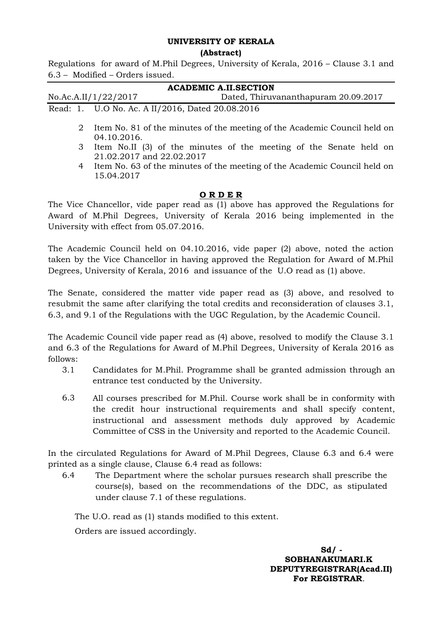## **UNIVERSITY OF KERALA**

## **(Abstract)**

Regulations for award of M.Phil Degrees, University of Kerala, 2016 – Clause 3.1 and 6.3 – Modified – Orders issued.

| <b>ACADEMIC A.II.SECTION</b> |             |                                                                           |
|------------------------------|-------------|---------------------------------------------------------------------------|
| No.Ac.A.II/1/22/2017         |             | Dated, Thiruvananthapuram 20.09.2017                                      |
|                              |             | Read: 1. U.O No. Ac. A II/2016, Dated 20.08.2016                          |
|                              | 04.10.2016. | Item No. 81 of the minutes of the meeting of the Academic Council held on |

- 3 Item No.II (3) of the minutes of the meeting of the Senate held on 21.02.2017 and 22.02.2017
- 4 Item No. 63 of the minutes of the meeting of the Academic Council held on 15.04.2017

## **O R D E R**

The Vice Chancellor, vide paper read as (1) above has approved the Regulations for Award of M.Phil Degrees, University of Kerala 2016 being implemented in the University with effect from 05.07.2016.

The Academic Council held on 04.10.2016, vide paper (2) above, noted the action taken by the Vice Chancellor in having approved the Regulation for Award of M.Phil Degrees, University of Kerala, 2016 and issuance of the U.O read as (1) above.

The Senate, considered the matter vide paper read as (3) above, and resolved to resubmit the same after clarifying the total credits and reconsideration of clauses 3.1, 6.3, and 9.1 of the Regulations with the UGC Regulation, by the Academic Council.

The Academic Council vide paper read as (4) above, resolved to modify the Clause 3.1 and 6.3 of the Regulations for Award of M.Phil Degrees, University of Kerala 2016 as follows:

- 3.1 Candidates for M.Phil. Programme shall be granted admission through an entrance test conducted by the University.
- 6.3 All courses prescribed for M.Phil. Course work shall be in conformity with the credit hour instructional requirements and shall specify content, instructional and assessment methods duly approved by Academic Committee of CSS in the University and reported to the Academic Council.

In the circulated Regulations for Award of M.Phil Degrees, Clause 6.3 and 6.4 were printed as a single clause, Clause 6.4 read as follows:

6.4 The Department where the scholar pursues research shall prescribe the course(s), based on the recommendations of the DDC, as stipulated under clause 7.1 of these regulations.

The U.O. read as (1) stands modified to this extent.

Orders are issued accordingly.

 **Sd/ - SOBHANAKUMARI.K DEPUTYREGISTRAR(Acad.II) For REGISTRAR**.